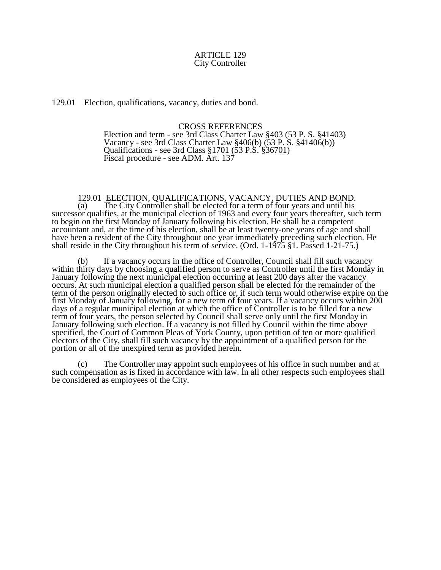## ARTICLE 129 City Controller

129.01 Election, qualifications, vacancy, duties and bond.

## CROSS REFERENCES

Election and term - see 3rd Class Charter Law §403 (53 P. S. §41403) Vacancy - see 3rd Class Charter Law  $\S 406(b)$  (53 P. S.  $\S 41406(b)$ ) Qualifications - see 3rd Class §1701 (53 P.S. §36701) Fiscal procedure - see ADM. Art. 137

129.01 ELECTION, QUALIFICATIONS, VACANCY, DUTIES AND BOND. (a) The City Controller shall be elected for a term of four years and until his successor qualifies, at the municipal election of 1963 and every four years thereafter, such term to begin on the first Monday of January following his election. He shall be a competent accountant and, at the time of his election, shall be at least twenty-one years of age and shall have been a resident of the City throughout one year immediately preceding such election. He shall reside in the City throughout his term of service. (Ord. 1-1975 §1. Passed 1-21-75.)

(b) If a vacancy occurs in the office of Controller, Council shall fill such vacancy within thirty days by choosing a qualified person to serve as Controller until the first Monday in January following the next municipal election occurring at least 200 days after the vacancy occurs. At such municipal election a qualified person shall be elected for the remainder of the term of the person originally elected to such office or, if such term would otherwise expire on the first Monday of January following, for a new term of four years. If a vacancy occurs within 200 days of a regular municipal election at which the office of Controller is to be filled for a new term of four years, the person selected by Council shall serve only until the first Monday in January following such election. If a vacancy is not filled by Council within the time above specified, the Court of Common Pleas of York County, upon petition of ten or more qualified electors of the City, shall fill such vacancy by the appointment of a qualified person for the portion or all of the unexpired term as provided herein.

(c) The Controller may appoint such employees of his office in such number and at such compensation as is fixed in accordance with law. In all other respects such employees shall be considered as employees of the City.